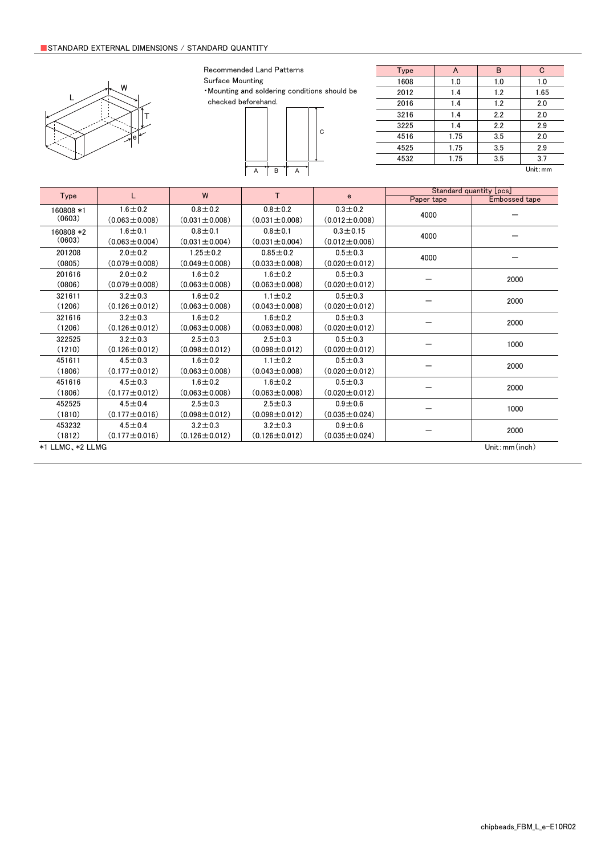#### ■ Limited Application

#### 1. Equipment Intended for Use

The products listed in this catalog are intended for general-purpose and standard use in general electronic equipment for consumer (e.g., AV equipment, OA equipment, home electric appliances, office equipment, information and communication equipment including, without limitation, mobile phone, and PC) and other equipment specified in this catalog or the individual product specification sheets, or the equipment approved separately by TAIYO YUDEN.

TAIYO YUDEN has the product series intended for use in the following equipment. Therefore, when using our products for these equipment, please check available applications specified in this catalog or the individual product specification sheets and use the corresponding products.

|             | <b>Product Series</b>                                                        |   |                             |
|-------------|------------------------------------------------------------------------------|---|-----------------------------|
| Application | Category<br>Equipment <sup>*1</sup><br>(Part Number Code <sup>*2</sup> )     |   | Quality Grade <sup>*3</sup> |
| Automotive  | Automotive Electronic Equipment<br>(POWERTRAIN, SAFETY)                      | A |                             |
|             | Automotive Electronic Equipment<br>(BODY & CHASSIS, INFOTAINMENT)            | C | 2                           |
| Industrial  | Telecommunications Infrastructure and<br><b>Industrial Equipment</b>         | B | 2                           |
| Medical     | Medical Devices classified as GHTF Class C<br>(Japan Class III)              | M | 2                           |
|             | Medical Devices classified as GHTF Classes A or B<br>(Japan Classes I or II) |   | 3                           |
| Consumer    | General Electronic Equipment                                                 | S | 3                           |

\*Notes: 1. Based on the general specifications required for electronic components for such equipment, which are recognized by TAIYO YUDEN,<br>the use of each product series for the equipment is recommended. Please be sure to

please check the explanatory materials regarding the part numbering system of each of our products.<br>3. Each product series is assigned a "Quality Grade" from 1 to 3 in order of higher quality. Please do not incorporate a p

equipment with a higher Quality Grade than the Quality Grade of such product without the prior written consent of TAIYO YUDEN.

#### 2. Equipment Requiring Inquiry

Please be sure to contact TAIYO YUDEN for further information before using the products listed in this catalog for the following equipment (excluding intended equipment as specified in this catalog or the individual product specification sheets) which may cause loss of human life, bodily injury, serious property damage and/or serious public impact due to a failure or defect of the products and/or malfunction attributed thereto.

(1) Transportation equipment (automotive powertrain control system, train control system, and ship control system, etc.)

(2) Traffic signal equipment

- (3) Disaster prevention equipment, crime prevention equipment
- (4) Medical devices classified as GHTF Class C (Japan Class III)
- (5) Highly public information network equipment, data-processing equipment (telephone exchange, and base station, etc.)

(6) Any other equipment requiring high levels of quality and/or reliability equal to the equipment listed above

#### 3. Equipment Prohibited for Use

Please do not incorporate our products into the following equipment requiring extremely high levels of safety and/or reliability. (1) Aerospace equipment (artificial satellite, rocket, etc.)

(2) Aviation equipment \*1

(3) Medical devices classified as GHTF Class D (Japan Class IV), implantable medical devices  $*2$ 

- (4) Power generation control equipment (nuclear power, hydroelectric power, thermal power plant control system, etc.)
- (5) Undersea equipment (submarine repeating equipment, etc.)
- (6) Military equipment

(7) Any other equipment requiring extremely high levels of safety and/or reliability equal to the equipment listed above

- \*Notes: 1. There is a possibility that our products can be used only for aviation equipment that does not directly affect the safe operation of aircraft (e.g., in-flight entertainment, cabin light, electric seat, cooking e
	- <sup>2</sup>. Implantable medical devices contain not only internal unit which is implanted in a body, but also external unit which is connected to the internal unit.

#### 4. Limitation of Liability

Please note that unless you obtain prior written consent of TAIYO YUDEN, TAIYO YUDEN shall not be in any way responsible for any damages incurred by you or third parties arising from use of the products listed in this catalog for any equipment that is not intended for use by TAIYO YUDEN, or any equipment requiring inquiry to TAIYO YUDEN or prohibited for use by TAIYO YUDEN as described above.